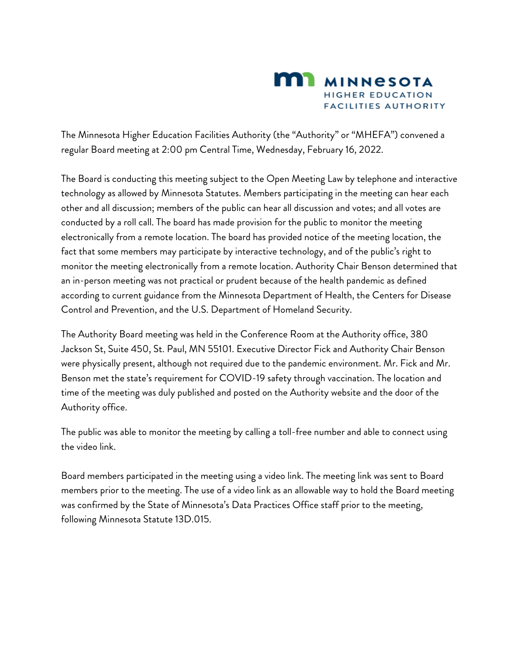

The Minnesota Higher Education Facilities Authority (the "Authority" or "MHEFA") convened a regular Board meeting at 2:00 pm Central Time, Wednesday, February 16, 2022.

The Board is conducting this meeting subject to the Open Meeting Law by telephone and interactive technology as allowed by Minnesota Statutes. Members participating in the meeting can hear each other and all discussion; members of the public can hear all discussion and votes; and all votes are conducted by a roll call. The board has made provision for the public to monitor the meeting electronically from a remote location. The board has provided notice of the meeting location, the fact that some members may participate by interactive technology, and of the public's right to monitor the meeting electronically from a remote location. Authority Chair Benson determined that an in-person meeting was not practical or prudent because of the health pandemic as defined according to current guidance from the Minnesota Department of Health, the Centers for Disease Control and Prevention, and the U.S. Department of Homeland Security.

The Authority Board meeting was held in the Conference Room at the Authority office, 380 Jackson St, Suite 450, St. Paul, MN 55101. Executive Director Fick and Authority Chair Benson were physically present, although not required due to the pandemic environment. Mr. Fick and Mr. Benson met the state's requirement for COVID-19 safety through vaccination. The location and time of the meeting was duly published and posted on the Authority website and the door of the Authority office.

The public was able to monitor the meeting by calling a toll-free number and able to connect using the video link.

Board members participated in the meeting using a video link. The meeting link was sent to Board members prior to the meeting. The use of a video link as an allowable way to hold the Board meeting was confirmed by the State of Minnesota's Data Practices Office staff prior to the meeting, following Minnesota Statute 13D.015.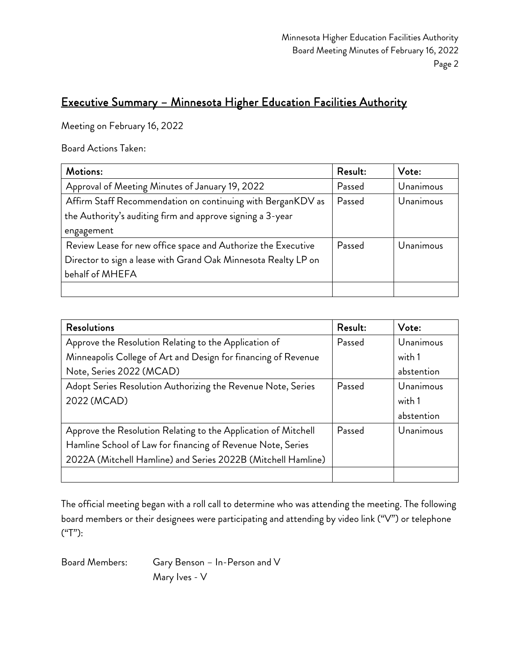### Executive Summary – Minnesota Higher Education Facilities Authority

Meeting on February 16, 2022

Board Actions Taken:

| Motions:                                                       | Result: | Vote:     |
|----------------------------------------------------------------|---------|-----------|
| Approval of Meeting Minutes of January 19, 2022                | Passed  | Unanimous |
| Affirm Staff Recommendation on continuing with BerganKDV as    | Passed  | Unanimous |
| the Authority's auditing firm and approve signing a 3-year     |         |           |
| engagement                                                     |         |           |
| Review Lease for new office space and Authorize the Executive  | Passed  | Unanimous |
| Director to sign a lease with Grand Oak Minnesota Realty LP on |         |           |
| behalf of MHEFA                                                |         |           |
|                                                                |         |           |

| <b>Resolutions</b>                                             | Result: | Vote:      |
|----------------------------------------------------------------|---------|------------|
| Approve the Resolution Relating to the Application of          | Passed  | Unanimous  |
| Minneapolis College of Art and Design for financing of Revenue |         | with 1     |
| Note, Series 2022 (MCAD)                                       |         | abstention |
| Adopt Series Resolution Authorizing the Revenue Note, Series   | Passed  | Unanimous  |
| 2022 (MCAD)                                                    |         | with 1     |
|                                                                |         | abstention |
| Approve the Resolution Relating to the Application of Mitchell | Passed  | Unanimous  |
| Hamline School of Law for financing of Revenue Note, Series    |         |            |
| 2022A (Mitchell Hamline) and Series 2022B (Mitchell Hamline)   |         |            |
|                                                                |         |            |

The official meeting began with a roll call to determine who was attending the meeting. The following board members or their designees were participating and attending by video link ("V") or telephone ("T"):

Board Members: Gary Benson – In-Person and V Mary Ives - V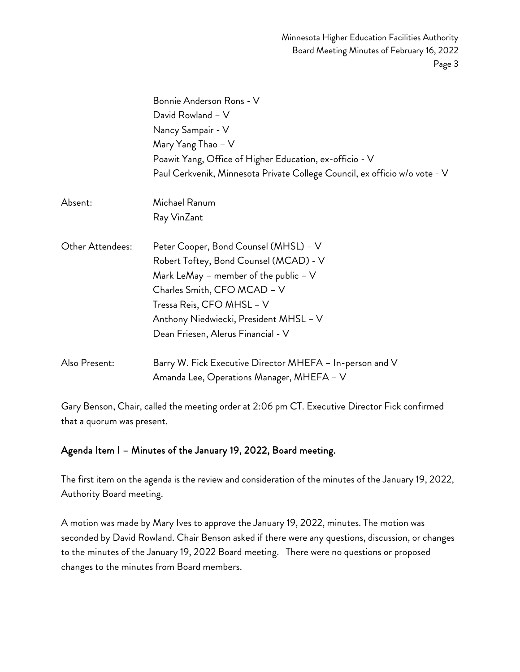|                  | Bonnie Anderson Rons - V                                                   |
|------------------|----------------------------------------------------------------------------|
|                  | David Rowland - V                                                          |
|                  | Nancy Sampair - V                                                          |
|                  | Mary Yang Thao - V                                                         |
|                  | Poawit Yang, Office of Higher Education, ex-officio - V                    |
|                  | Paul Cerkvenik, Minnesota Private College Council, ex officio w/o vote - V |
| Absent:          | Michael Ranum                                                              |
|                  | Ray VinZant                                                                |
| Other Attendees: | Peter Cooper, Bond Counsel (MHSL) - V                                      |
|                  | Robert Toftey, Bond Counsel (MCAD) - V                                     |
|                  | Mark LeMay - member of the public $-$ V                                    |
|                  | Charles Smith, CFO MCAD - V                                                |
|                  | Tressa Reis, CFO MHSL - V                                                  |
|                  | Anthony Niedwiecki, President MHSL - V                                     |
|                  | Dean Friesen, Alerus Financial - V                                         |
| Also Present:    | Barry W. Fick Executive Director MHEFA – In-person and V                   |
|                  | Amanda Lee, Operations Manager, MHEFA - V                                  |

Gary Benson, Chair, called the meeting order at 2:06 pm CT. Executive Director Fick confirmed that a quorum was present.

#### Agenda Item I – Minutes of the January 19, 2022, Board meeting.

The first item on the agenda is the review and consideration of the minutes of the January 19, 2022, Authority Board meeting.

A motion was made by Mary Ives to approve the January 19, 2022, minutes. The motion was seconded by David Rowland. Chair Benson asked if there were any questions, discussion, or changes to the minutes of the January 19, 2022 Board meeting. There were no questions or proposed changes to the minutes from Board members.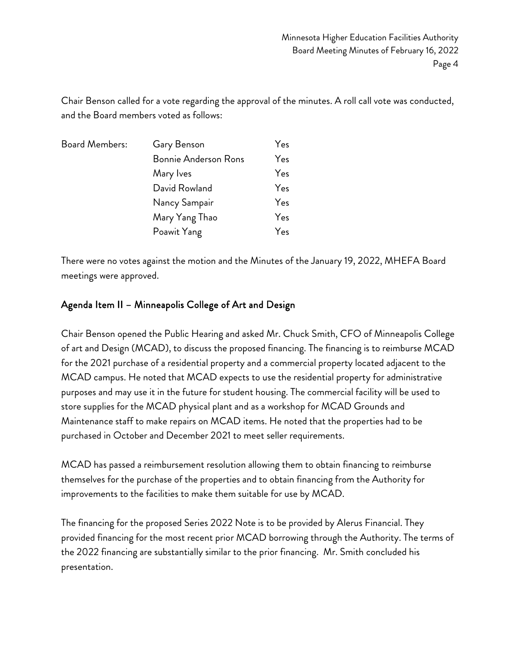Chair Benson called for a vote regarding the approval of the minutes. A roll call vote was conducted, and the Board members voted as follows:

| <b>Board Members:</b> | Gary Benson                 | Yes |
|-----------------------|-----------------------------|-----|
|                       | <b>Bonnie Anderson Rons</b> | Yes |
|                       | Mary Ives                   | Yes |
|                       | David Rowland               | Yes |
|                       | Nancy Sampair               | Yes |
|                       | Mary Yang Thao              | Yes |
|                       | Poawit Yang                 | Yes |

There were no votes against the motion and the Minutes of the January 19, 2022, MHEFA Board meetings were approved.

#### Agenda Item II – Minneapolis College of Art and Design

Chair Benson opened the Public Hearing and asked Mr. Chuck Smith, CFO of Minneapolis College of art and Design (MCAD), to discuss the proposed financing. The financing is to reimburse MCAD for the 2021 purchase of a residential property and a commercial property located adjacent to the MCAD campus. He noted that MCAD expects to use the residential property for administrative purposes and may use it in the future for student housing. The commercial facility will be used to store supplies for the MCAD physical plant and as a workshop for MCAD Grounds and Maintenance staff to make repairs on MCAD items. He noted that the properties had to be purchased in October and December 2021 to meet seller requirements.

MCAD has passed a reimbursement resolution allowing them to obtain financing to reimburse themselves for the purchase of the properties and to obtain financing from the Authority for improvements to the facilities to make them suitable for use by MCAD.

The financing for the proposed Series 2022 Note is to be provided by Alerus Financial. They provided financing for the most recent prior MCAD borrowing through the Authority. The terms of the 2022 financing are substantially similar to the prior financing. Mr. Smith concluded his presentation.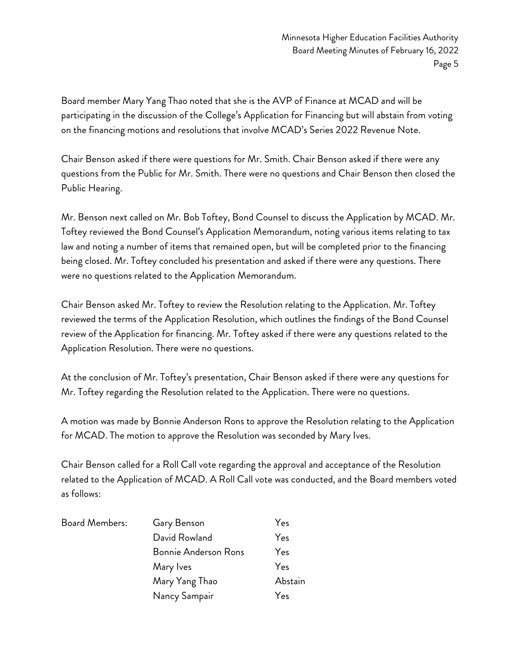Board member Mary Yang Thao noted that she is the AVP of Finance at MCAD and will be participating in the discussion of the College's Application for Financing but will abstain from voting on the financing motions and resolutions that involve MCAD's Series 2022 Revenue Note.

Chair Benson asked if there were questions for Mr. Smith. Chair Benson asked if there were any questions from the Public for Mr. Smith. There were no questions and Chair Benson then closed the Public Hearing.

Mr. Benson next called on Mr. Bob Toftey, Bond Counsel to discuss the Application by MCAD. Mr. Toftey reviewed the Bond Counsel's Application Memorandum, noting various items relating to tax law and noting a number of items that remained open, but will be completed prior to the financing being closed. Mr. Toftey concluded his presentation and asked if there were any questions. There were no questions related to the Application Memorandum.

Chair Benson asked Mr. Toftey to review the Resolution relating to the Application. Mr. Toftey reviewed the terms of the Application Resolution, which outlines the findings of the Bond Counsel review of the Application for financing. Mr. Toftey asked if there were any questions related to the Application Resolution. There were no questions.

At the conclusion of Mr. Toftey's presentation, Chair Benson asked if there were any questions for Mr. Toftey regarding the Resolution related to the Application. There were no questions.

A motion was made by Bonnie Anderson Rons to approve the Resolution relating to the Application for MCAD. The motion to approve the Resolution was seconded by Mary Ives.

Chair Benson called for a Roll Call vote regarding the approval and acceptance of the Resolution related to the Application of MCAD. A Roll Call vote was conducted, and the Board members voted as follows:

| <b>Board Members:</b> | Gary Benson                 | Yes     |
|-----------------------|-----------------------------|---------|
|                       | David Rowland               | Yes     |
|                       | <b>Bonnie Anderson Rons</b> | Yes     |
|                       | Mary Ives                   | Yes     |
|                       | Mary Yang Thao              | Abstain |
|                       | Nancy Sampair               | Yes     |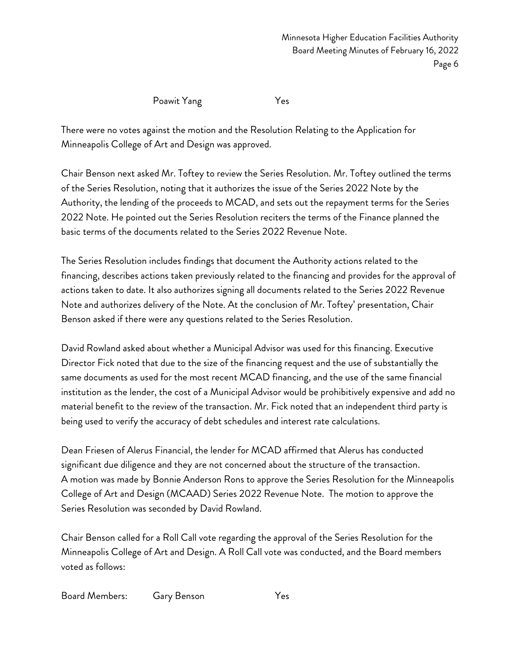Poawit Yang Yes

There were no votes against the motion and the Resolution Relating to the Application for Minneapolis College of Art and Design was approved.

Chair Benson next asked Mr. Toftey to review the Series Resolution. Mr. Toftey outlined the terms of the Series Resolution, noting that it authorizes the issue of the Series 2022 Note by the Authority, the lending of the proceeds to MCAD, and sets out the repayment terms for the Series 2022 Note. He pointed out the Series Resolution reciters the terms of the Finance planned the basic terms of the documents related to the Series 2022 Revenue Note.

The Series Resolution includes findings that document the Authority actions related to the financing, describes actions taken previously related to the financing and provides for the approval of actions taken to date. It also authorizes signing all documents related to the Series 2022 Revenue Note and authorizes delivery of the Note. At the conclusion of Mr. Toftey' presentation, Chair Benson asked if there were any questions related to the Series Resolution.

David Rowland asked about whether a Municipal Advisor was used for this financing. Executive Director Fick noted that due to the size of the financing request and the use of substantially the same documents as used for the most recent MCAD financing, and the use of the same financial institution as the lender, the cost of a Municipal Advisor would be prohibitively expensive and add no material benefit to the review of the transaction. Mr. Fick noted that an independent third party is being used to verify the accuracy of debt schedules and interest rate calculations.

Dean Friesen of Alerus Financial, the lender for MCAD affirmed that Alerus has conducted significant due diligence and they are not concerned about the structure of the transaction. A motion was made by Bonnie Anderson Rons to approve the Series Resolution for the Minneapolis College of Art and Design (MCAAD) Series 2022 Revenue Note. The motion to approve the Series Resolution was seconded by David Rowland.

Chair Benson called for a Roll Call vote regarding the approval of the Series Resolution for the Minneapolis College of Art and Design. A Roll Call vote was conducted, and the Board members voted as follows:

Board Members: Gary Benson Yes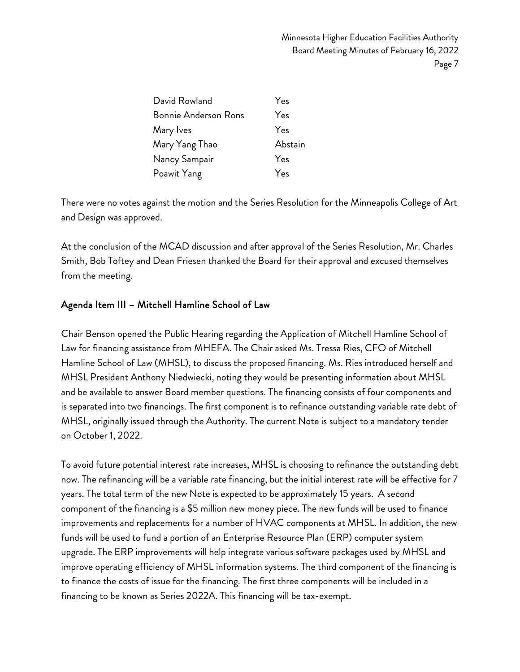| David Rowland        | Yes     |
|----------------------|---------|
| Bonnie Anderson Rons | Yes     |
| Mary Ives            | Yes     |
| Mary Yang Thao       | Abstain |
| Nancy Sampair        | Yes     |
| Poawit Yang          | Yes     |

There were no votes against the motion and the Series Resolution for the Minneapolis College of Art and Design was approved.

At the conclusion of the MCAD discussion and after approval of the Series Resolution, Mr. Charles Smith, Bob Toftey and Dean Friesen thanked the Board for their approval and excused themselves from the meeting.

#### Agenda Item III – Mitchell Hamline School of Law

Chair Benson opened the Public Hearing regarding the Application of Mitchell Hamline School of Law for financing assistance from MHEFA. The Chair asked Ms. Tressa Ries, CFO of Mitchell Hamline School of Law (MHSL), to discuss the proposed financing. Ms. Ries introduced herself and MHSL President Anthony Niedwiecki, noting they would be presenting information about MHSL and be available to answer Board member questions. The financing consists of four components and is separated into two financings. The first component is to refinance outstanding variable rate debt of MHSL, originally issued through the Authority. The current Note is subject to a mandatory tender on October 1, 2022.

To avoid future potential interest rate increases, MHSL is choosing to refinance the outstanding debt now. The refinancing will be a variable rate financing, but the initial interest rate will be effective for 7 years. The total term of the new Note is expected to be approximately 15 years. A second component of the financing is a \$5 million new money piece. The new funds will be used to finance improvements and replacements for a number of HVAC components at MHSL. In addition, the new funds will be used to fund a portion of an Enterprise Resource Plan (ERP) computer system upgrade. The ERP improvements will help integrate various software packages used by MHSL and improve operating efficiency of MHSL information systems. The third component of the financing is to finance the costs of issue for the financing. The first three components will be included in a financing to be known as Series 2022A. This financing will be tax-exempt.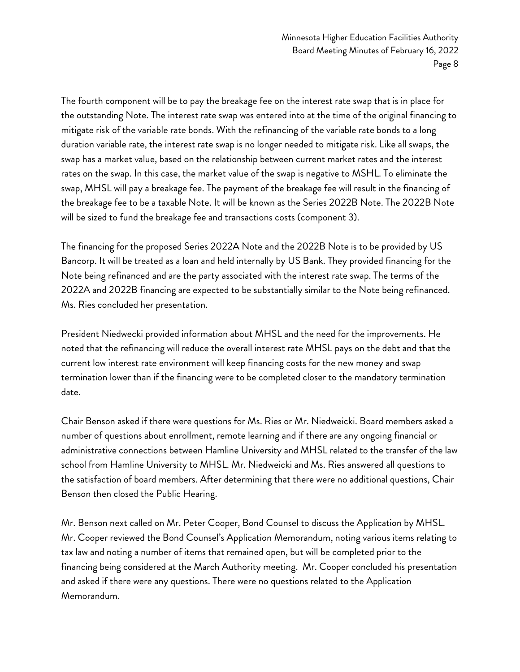The fourth component will be to pay the breakage fee on the interest rate swap that is in place for the outstanding Note. The interest rate swap was entered into at the time of the original financing to mitigate risk of the variable rate bonds. With the refinancing of the variable rate bonds to a long duration variable rate, the interest rate swap is no longer needed to mitigate risk. Like all swaps, the swap has a market value, based on the relationship between current market rates and the interest rates on the swap. In this case, the market value of the swap is negative to MSHL. To eliminate the swap, MHSL will pay a breakage fee. The payment of the breakage fee will result in the financing of the breakage fee to be a taxable Note. It will be known as the Series 2022B Note. The 2022B Note will be sized to fund the breakage fee and transactions costs (component 3).

The financing for the proposed Series 2022A Note and the 2022B Note is to be provided by US Bancorp. It will be treated as a loan and held internally by US Bank. They provided financing for the Note being refinanced and are the party associated with the interest rate swap. The terms of the 2022A and 2022B financing are expected to be substantially similar to the Note being refinanced. Ms. Ries concluded her presentation.

President Niedwecki provided information about MHSL and the need for the improvements. He noted that the refinancing will reduce the overall interest rate MHSL pays on the debt and that the current low interest rate environment will keep financing costs for the new money and swap termination lower than if the financing were to be completed closer to the mandatory termination date.

Chair Benson asked if there were questions for Ms. Ries or Mr. Niedweicki. Board members asked a number of questions about enrollment, remote learning and if there are any ongoing financial or administrative connections between Hamline University and MHSL related to the transfer of the law school from Hamline University to MHSL. Mr. Niedweicki and Ms. Ries answered all questions to the satisfaction of board members. After determining that there were no additional questions, Chair Benson then closed the Public Hearing.

Mr. Benson next called on Mr. Peter Cooper, Bond Counsel to discuss the Application by MHSL. Mr. Cooper reviewed the Bond Counsel's Application Memorandum, noting various items relating to tax law and noting a number of items that remained open, but will be completed prior to the financing being considered at the March Authority meeting. Mr. Cooper concluded his presentation and asked if there were any questions. There were no questions related to the Application Memorandum.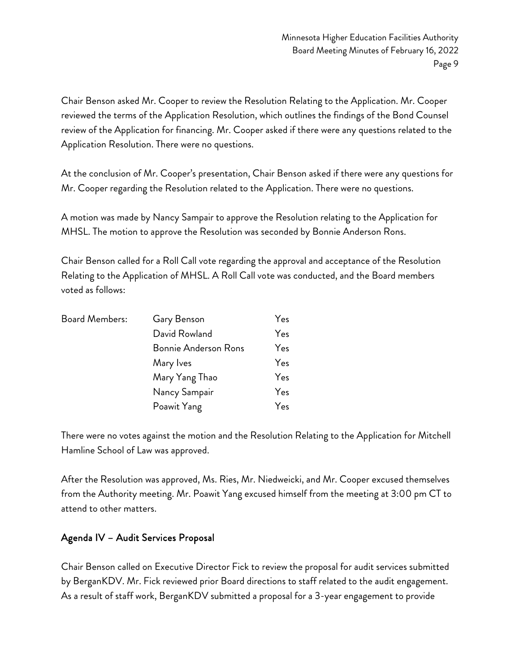Chair Benson asked Mr. Cooper to review the Resolution Relating to the Application. Mr. Cooper reviewed the terms of the Application Resolution, which outlines the findings of the Bond Counsel review of the Application for financing. Mr. Cooper asked if there were any questions related to the Application Resolution. There were no questions.

At the conclusion of Mr. Cooper's presentation, Chair Benson asked if there were any questions for Mr. Cooper regarding the Resolution related to the Application. There were no questions.

A motion was made by Nancy Sampair to approve the Resolution relating to the Application for MHSL. The motion to approve the Resolution was seconded by Bonnie Anderson Rons.

Chair Benson called for a Roll Call vote regarding the approval and acceptance of the Resolution Relating to the Application of MHSL. A Roll Call vote was conducted, and the Board members voted as follows:

| <b>Board Members:</b> | Gary Benson                 | Yes |
|-----------------------|-----------------------------|-----|
|                       | David Rowland               | Yes |
|                       | <b>Bonnie Anderson Rons</b> | Yes |
|                       | Mary Ives                   | Yes |
|                       | Mary Yang Thao              | Yes |
|                       | Nancy Sampair               | Yes |
|                       | Poawit Yang                 | Yes |

There were no votes against the motion and the Resolution Relating to the Application for Mitchell Hamline School of Law was approved.

After the Resolution was approved, Ms. Ries, Mr. Niedweicki, and Mr. Cooper excused themselves from the Authority meeting. Mr. Poawit Yang excused himself from the meeting at 3:00 pm CT to attend to other matters.

#### Agenda IV – Audit Services Proposal

Chair Benson called on Executive Director Fick to review the proposal for audit services submitted by BerganKDV. Mr. Fick reviewed prior Board directions to staff related to the audit engagement. As a result of staff work, BerganKDV submitted a proposal for a 3-year engagement to provide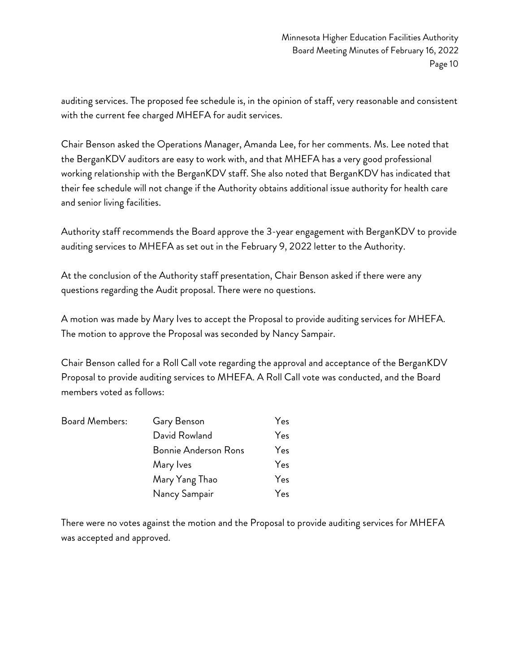auditing services. The proposed fee schedule is, in the opinion of staff, very reasonable and consistent with the current fee charged MHEFA for audit services.

Chair Benson asked the Operations Manager, Amanda Lee, for her comments. Ms. Lee noted that the BerganKDV auditors are easy to work with, and that MHEFA has a very good professional working relationship with the BerganKDV staff. She also noted that BerganKDV has indicated that their fee schedule will not change if the Authority obtains additional issue authority for health care and senior living facilities.

Authority staff recommends the Board approve the 3-year engagement with BerganKDV to provide auditing services to MHEFA as set out in the February 9, 2022 letter to the Authority.

At the conclusion of the Authority staff presentation, Chair Benson asked if there were any questions regarding the Audit proposal. There were no questions.

A motion was made by Mary Ives to accept the Proposal to provide auditing services for MHEFA. The motion to approve the Proposal was seconded by Nancy Sampair.

Chair Benson called for a Roll Call vote regarding the approval and acceptance of the BerganKDV Proposal to provide auditing services to MHEFA. A Roll Call vote was conducted, and the Board members voted as follows:

| Board Members: | Gary Benson                 | Yes |
|----------------|-----------------------------|-----|
|                | David Rowland               | Yes |
|                | <b>Bonnie Anderson Rons</b> | Yes |
|                | Mary Ives                   | Yes |
|                | Mary Yang Thao              | Yes |
|                | Nancy Sampair               | Yes |

There were no votes against the motion and the Proposal to provide auditing services for MHEFA was accepted and approved.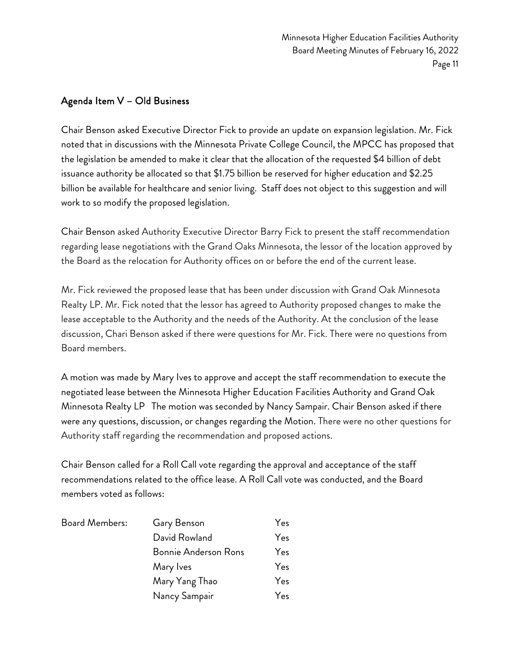#### Agenda Item V – Old Business

Chair Benson asked Executive Director Fick to provide an update on expansion legislation. Mr. Fick noted that in discussions with the Minnesota Private College Council, the MPCC has proposed that the legislation be amended to make it clear that the allocation of the requested \$4 billion of debt issuance authority be allocated so that \$1.75 billion be reserved for higher education and \$2.25 billion be available for healthcare and senior living. Staff does not object to this suggestion and will work to so modify the proposed legislation.

Chair Benson asked Authority Executive Director Barry Fick to present the staff recommendation regarding lease negotiations with the Grand Oaks Minnesota, the lessor of the location approved by the Board as the relocation for Authority offices on or before the end of the current lease.

Mr. Fick reviewed the proposed lease that has been under discussion with Grand Oak Minnesota Realty LP. Mr. Fick noted that the lessor has agreed to Authority proposed changes to make the lease acceptable to the Authority and the needs of the Authority. At the conclusion of the lease discussion, Chari Benson asked if there were questions for Mr. Fick. There were no questions from Board members.

A motion was made by Mary Ives to approve and accept the staff recommendation to execute the negotiated lease between the Minnesota Higher Education Facilities Authority and Grand Oak Minnesota Realty LP The motion was seconded by Nancy Sampair. Chair Benson asked if there were any questions, discussion, or changes regarding the Motion. There were no other questions for Authority staff regarding the recommendation and proposed actions.

Chair Benson called for a Roll Call vote regarding the approval and acceptance of the staff recommendations related to the office lease. A Roll Call vote was conducted, and the Board members voted as follows:

| <b>Board Members:</b> | Gary Benson                 | Yes |
|-----------------------|-----------------------------|-----|
|                       | David Rowland               | Yes |
|                       | <b>Bonnie Anderson Rons</b> | Yes |
|                       | Mary Ives                   | Yes |
|                       | Mary Yang Thao              | Yes |
|                       | Nancy Sampair               | Yes |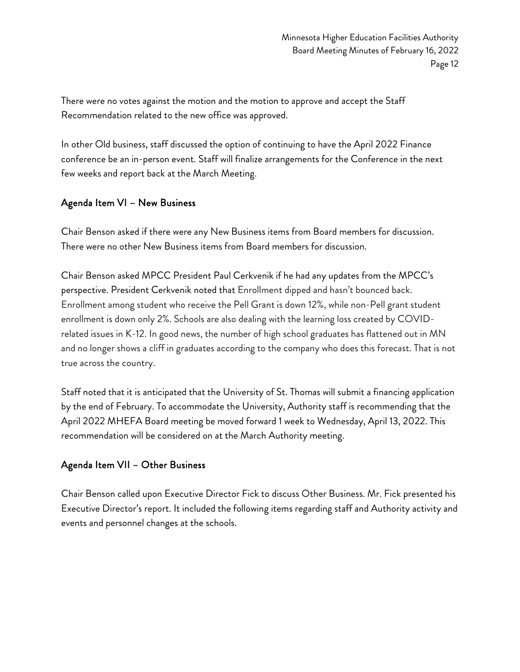There were no votes against the motion and the motion to approve and accept the Staff Recommendation related to the new office was approved.

In other Old business, staff discussed the option of continuing to have the April 2022 Finance conference be an in-person event. Staff will finalize arrangements for the Conference in the next few weeks and report back at the March Meeting.

#### Agenda Item VI – New Business

Chair Benson asked if there were any New Business items from Board members for discussion. There were no other New Business items from Board members for discussion.

Chair Benson asked MPCC President Paul Cerkvenik if he had any updates from the MPCC's perspective. President Cerkvenik noted that Enrollment dipped and hasn't bounced back. Enrollment among student who receive the Pell Grant is down 12%, while non-Pell grant student enrollment is down only 2%. Schools are also dealing with the learning loss created by COVIDrelated issues in K-12. In good news, the number of high school graduates has flattened out in MN and no longer shows a cliff in graduates according to the company who does this forecast. That is not true across the country.

Staff noted that it is anticipated that the University of St. Thomas will submit a financing application by the end of February. To accommodate the University, Authority staff is recommending that the April 2022 MHEFA Board meeting be moved forward 1 week to Wednesday, April 13, 2022. This recommendation will be considered on at the March Authority meeting.

#### Agenda Item VII – Other Business

Chair Benson called upon Executive Director Fick to discuss Other Business. Mr. Fick presented his Executive Director's report. It included the following items regarding staff and Authority activity and events and personnel changes at the schools.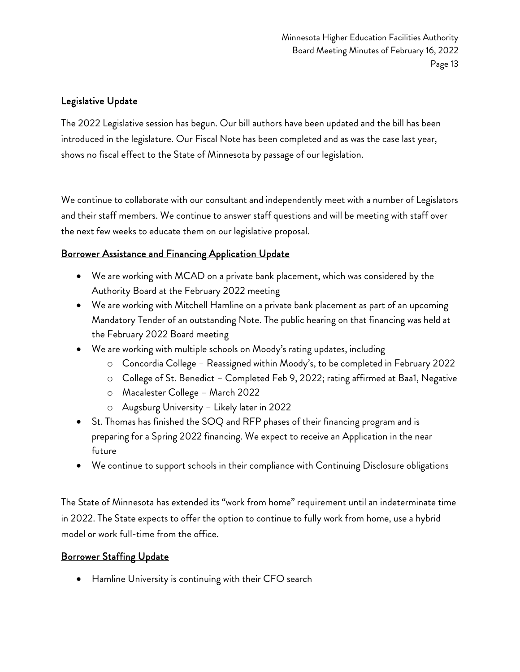#### Legislative Update

The 2022 Legislative session has begun. Our bill authors have been updated and the bill has been introduced in the legislature. Our Fiscal Note has been completed and as was the case last year, shows no fiscal effect to the State of Minnesota by passage of our legislation.

We continue to collaborate with our consultant and independently meet with a number of Legislators and their staff members. We continue to answer staff questions and will be meeting with staff over the next few weeks to educate them on our legislative proposal.

#### Borrower Assistance and Financing Application Update

- We are working with MCAD on a private bank placement, which was considered by the Authority Board at the February 2022 meeting
- We are working with Mitchell Hamline on a private bank placement as part of an upcoming Mandatory Tender of an outstanding Note. The public hearing on that financing was held at the February 2022 Board meeting
- We are working with multiple schools on Moody's rating updates, including
	- o Concordia College Reassigned within Moody's, to be completed in February 2022
	- o College of St. Benedict Completed Feb 9, 2022; rating affirmed at Baa1, Negative
	- o Macalester College March 2022
	- o Augsburg University Likely later in 2022
- St. Thomas has finished the SOQ and RFP phases of their financing program and is preparing for a Spring 2022 financing. We expect to receive an Application in the near future
- We continue to support schools in their compliance with Continuing Disclosure obligations

The State of Minnesota has extended its "work from home" requirement until an indeterminate time in 2022. The State expects to offer the option to continue to fully work from home, use a hybrid model or work full-time from the office.

#### Borrower Staffing Update

• Hamline University is continuing with their CFO search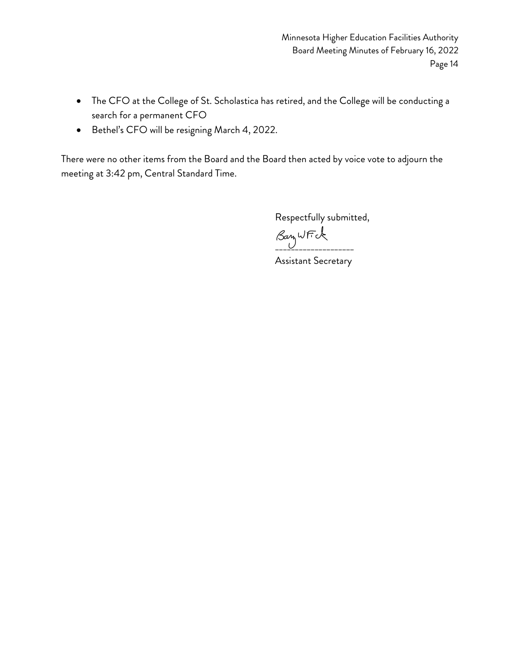- The CFO at the College of St. Scholastica has retired, and the College will be conducting a search for a permanent CFO
- Bethel's CFO will be resigning March 4, 2022.

There were no other items from the Board and the Board then acted by voice vote to adjourn the meeting at 3:42 pm, Central Standard Time.

Respectfully submitted,

 $\beta$ an WFK

Assistant Secretary